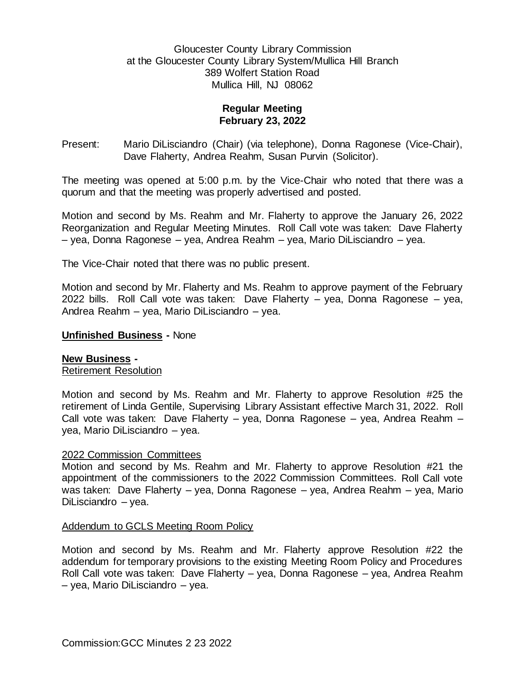## Gloucester County Library Commission at the Gloucester County Library System/Mullica Hill Branch 389 Wolfert Station Road Mullica Hill, NJ 08062

# **Regular Meeting February 23, 2022**

Present: Mario DiLisciandro (Chair) (via telephone), Donna Ragonese (Vice-Chair), Dave Flaherty, Andrea Reahm, Susan Purvin (Solicitor).

The meeting was opened at 5:00 p.m. by the Vice-Chair who noted that there was a quorum and that the meeting was properly advertised and posted.

Motion and second by Ms. Reahm and Mr. Flaherty to approve the January 26, 2022 Reorganization and Regular Meeting Minutes. Roll Call vote was taken: Dave Flaherty – yea, Donna Ragonese – yea, Andrea Reahm – yea, Mario DiLisciandro – yea.

The Vice-Chair noted that there was no public present.

Motion and second by Mr. Flaherty and Ms. Reahm to approve payment of the February 2022 bills. Roll Call vote was taken: Dave Flaherty – yea, Donna Ragonese – yea, Andrea Reahm – yea, Mario DiLisciandro – yea.

## **Unfinished Business -** None

#### **New Business -**

Retirement Resolution

Motion and second by Ms. Reahm and Mr. Flaherty to approve Resolution #25 the retirement of Linda Gentile, Supervising Library Assistant effective March 31, 2022. Roll Call vote was taken: Dave Flaherty – yea, Donna Ragonese – yea, Andrea Reahm – yea, Mario DiLisciandro – yea.

#### 2022 Commission Committees

Motion and second by Ms. Reahm and Mr. Flaherty to approve Resolution #21 the appointment of the commissioners to the 2022 Commission Committees. Roll Call vote was taken: Dave Flaherty – yea, Donna Ragonese – yea, Andrea Reahm – yea, Mario DiLisciandro – yea.

#### Addendum to GCLS Meeting Room Policy

Motion and second by Ms. Reahm and Mr. Flaherty approve Resolution #22 the addendum for temporary provisions to the existing Meeting Room Policy and Procedures Roll Call vote was taken: Dave Flaherty – yea, Donna Ragonese – yea, Andrea Reahm – yea, Mario DiLisciandro – yea.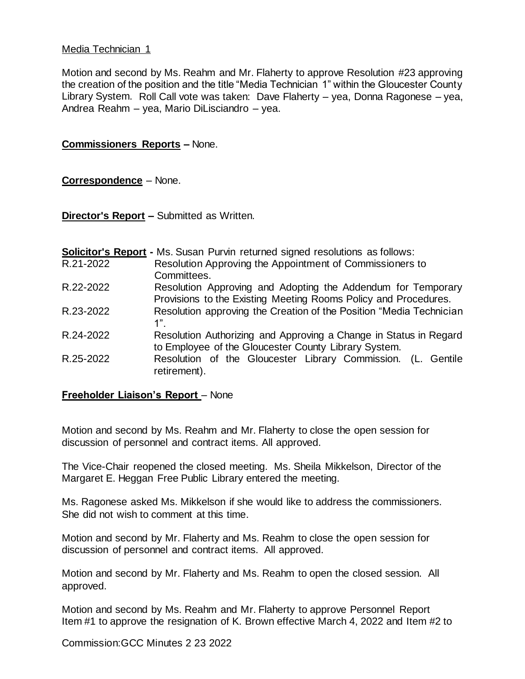## Media Technician 1

Motion and second by Ms. Reahm and Mr. Flaherty to approve Resolution #23 approving the creation of the position and the title "Media Technician 1" within the Gloucester County Library System. Roll Call vote was taken: Dave Flaherty – yea, Donna Ragonese – yea, Andrea Reahm – yea, Mario DiLisciandro – yea.

#### **Commissioners Reports –** None.

## **Correspondence** – None.

**Director's Report –** Submitted as Written.

**Solicitor's Report -** Ms. Susan Purvin returned signed resolutions as follows:

- R.21-2022 Resolution Approving the Appointment of Commissioners to Committees.
- R.22-2022 Resolution Approving and Adopting the Addendum for Temporary Provisions to the Existing Meeting Rooms Policy and Procedures.
- R.23-2022 Resolution approving the Creation of the Position "Media Technician  $1"$ .
- R.24-2022 Resolution Authorizing and Approving a Change in Status in Regard to Employee of the Gloucester County Library System.
- R.25-2022 Resolution of the Gloucester Library Commission. (L. Gentile retirement).

#### **Freeholder Liaison's Report** – None

Motion and second by Ms. Reahm and Mr. Flaherty to close the open session for discussion of personnel and contract items. All approved.

The Vice-Chair reopened the closed meeting. Ms. Sheila Mikkelson, Director of the Margaret E. Heggan Free Public Library entered the meeting.

Ms. Ragonese asked Ms. Mikkelson if she would like to address the commissioners. She did not wish to comment at this time.

Motion and second by Mr. Flaherty and Ms. Reahm to close the open session for discussion of personnel and contract items. All approved.

Motion and second by Mr. Flaherty and Ms. Reahm to open the closed session. All approved.

Motion and second by Ms. Reahm and Mr. Flaherty to approve Personnel Report Item #1 to approve the resignation of K. Brown effective March 4, 2022 and Item #2 to